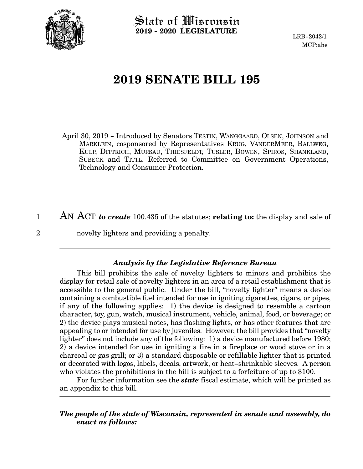

State of Wisconsin **2019 - 2020 LEGISLATURE**

LRB-2042/1 MCP:ahe

## **2019 SENATE BILL 195**

April 30, 2019 - Introduced by Senators TESTIN, WANGGAARD, OLSEN, JOHNSON and MARKLEIN, cosponsored by Representatives KRUG, VANDERMEER, BALLWEG, KULP, DITTRICH, MURSAU, THIESFELDT, TUSLER, BOWEN, SPIROS, SHANKLAND, SUBECK and TITTL. Referred to Committee on Government Operations, Technology and Consumer Protection.

AN ACT *to create* 100.435 of the statutes; **relating to:** the display and sale of novelty lighters and providing a penalty. 1 2

## *Analysis by the Legislative Reference Bureau*

This bill prohibits the sale of novelty lighters to minors and prohibits the display for retail sale of novelty lighters in an area of a retail establishment that is accessible to the general public. Under the bill, "novelty lighter" means a device containing a combustible fuel intended for use in igniting cigarettes, cigars, or pipes, if any of the following applies: 1) the device is designed to resemble a cartoon character, toy, gun, watch, musical instrument, vehicle, animal, food, or beverage; or 2) the device plays musical notes, has flashing lights, or has other features that are appealing to or intended for use by juveniles. However, the bill provides that "novelty lighter" does not include any of the following: 1) a device manufactured before 1980; 2) a device intended for use in igniting a fire in a fireplace or wood stove or in a charcoal or gas grill; or 3) a standard disposable or refillable lighter that is printed or decorated with logos, labels, decals, artwork, or heat-shrinkable sleeves. A person who violates the prohibitions in the bill is subject to a forfeiture of up to \$100.

For further information see the *state* fiscal estimate, which will be printed as an appendix to this bill.

## *The people of the state of Wisconsin, represented in senate and assembly, do enact as follows:*